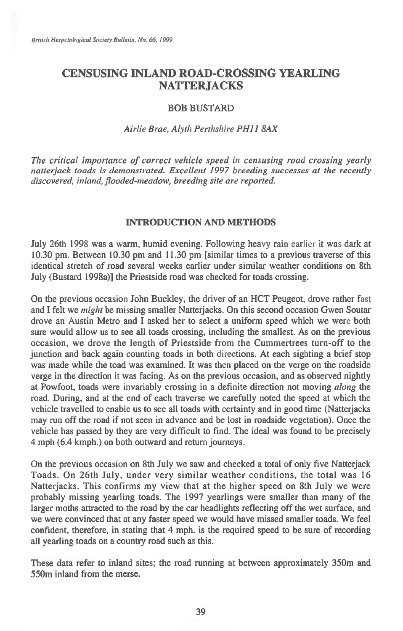# **CENSUSING INLAND ROAD-CROSSING YEARLING NATTERJACKS**

## BOB BUSTARD

# *Airlie Brae, Alyth Perthshire PH11 8AX*

*The critical importance of correct vehicle speed in censusing road crossing yearly natterjack toads is demonstrated. Excellent 1997 breeding successes at the recently discovered, inland, flooded-meadow, breeding site are reported.* 

#### **INTRODUCTION AND METHODS**

July 26th 1998 was a warm, humid evening. Following heavy rain *earlier* it was dark at 10.30 pm. Between 10.30 pm and 11.30 pm [similar times to a previous traverse of this identical stretch of road several weeks earlier under similar weather conditions on 8th July (Bustard 1998a)] the Priestside road was checked for toads crossing.

On the previous occasion John Buckley, the driver of an HCT Peugeot, drove rather fast and I felt we *might* be missing smaller Natterjacks. On this second occasion Gwen Soutar drove an Austin Metro and I asked her to select a uniform speed which we were both sure would allow us to see all toads crossing, including the smallest. As on the previous occasion, we drove the length of Priestside from the Cummertrees turn-off to the junction and back again counting toads in both directions. At each sighting a brief stop was made while the toad was examined. It was then placed on the verge on the roadside verge in the direction it was facing. As on the previous occasion, and as observed nightly at Powfoot, toads were invariably crossing in a definite direction not moving *along* the road. During, and at the end of each traverse we carefully noted the speed at which the vehicle travelled to enable us to see all toads with certainty and in good time (Natterjacks may run off the road if not seen in advance and be lost in roadside vegetation). Once the vehicle has passed by they are very difficult to find. The ideal was found to be precisely 4 mph (6.4 kmph.) on both outward and return journeys.

On the previous occasion on 8th July we saw and checked a total of only five Natterjack Toads. On 26th July, under very similar weather conditions, the total was 16 Natterjacks. This confirms my view that at the higher speed on 8th July we were probably missing yearling toads. The 1997 yearlings were smaller than many of the larger moths attracted to the road by the car headlights reflecting off the wet surface, and we were convinced that at any faster speed we would have missed smaller toads. We feel confident, therefore, in stating that 4 mph. is the required speed to be sure of recording all yearling toads on a country road such as this.

These data refer to inland sites; the road running at between approximately 350m and 550m inland from the merse.